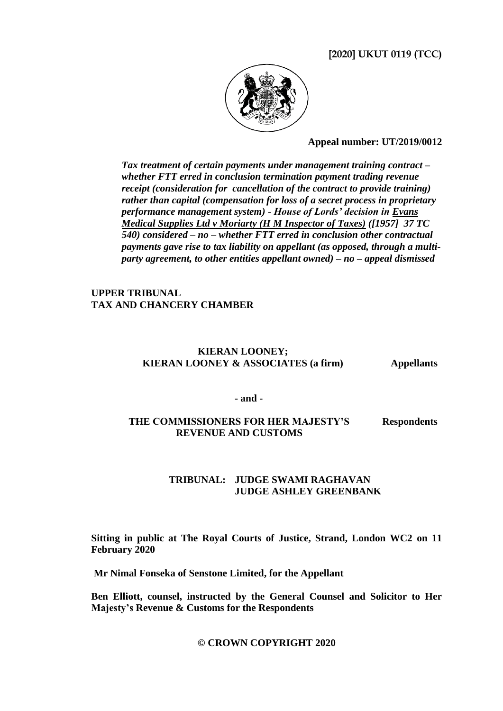# **[2020] UKUT 0119 (TCC)**



### **Appeal number: UT/2019/0012**

*Tax treatment of certain payments under management training contract – whether FTT erred in conclusion termination payment trading revenue receipt (consideration for cancellation of the contract to provide training) rather than capital (compensation for loss of a secret process in proprietary performance management system)* - *House of Lords' decision in Evans Medical Supplies Ltd v Moriarty (H M Inspector of Taxes) ([1957] 37 TC 540) considered – no – whether FTT erred in conclusion other contractual payments gave rise to tax liability on appellant (as opposed, through a multiparty agreement, to other entities appellant owned) – no – appeal dismissed*

## **UPPER TRIBUNAL TAX AND CHANCERY CHAMBER**

## **KIERAN LOONEY; KIERAN LOONEY & ASSOCIATES (a firm) Appellants**

**- and -**

#### **THE COMMISSIONERS FOR HER MAJESTY'S REVENUE AND CUSTOMS Respondents**

# **TRIBUNAL: JUDGE SWAMI RAGHAVAN JUDGE ASHLEY GREENBANK**

**Sitting in public at The Royal Courts of Justice, Strand, London WC2 on 11 February 2020**

**Mr Nimal Fonseka of Senstone Limited, for the Appellant**

**Ben Elliott, counsel, instructed by the General Counsel and Solicitor to Her Majesty's Revenue & Customs for the Respondents**

## **© CROWN COPYRIGHT 2020**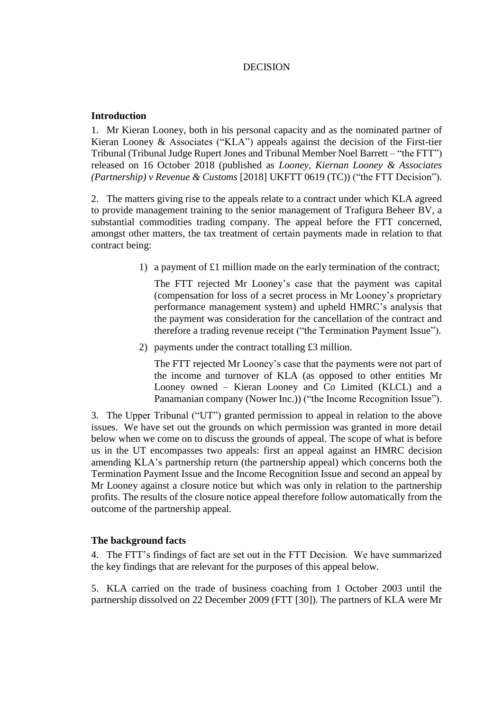## DECISION

## **Introduction**

1. Mr Kieran Looney, both in his personal capacity and as the nominated partner of Kieran Looney & Associates ("KLA") appeals against the decision of the First-tier Tribunal (Tribunal Judge Rupert Jones and Tribunal Member Noel Barrett – "the FTT") released on 16 October 2018 (published as *Looney, Kiernan Looney & Associates (Partnership) v Revenue & Customs* [2018] UKFTT 0619 (TC)) ("the FTT Decision").

2. The matters giving rise to the appeals relate to a contract under which KLA agreed to provide management training to the senior management of Trafigura Beheer BV, a substantial commodities trading company. The appeal before the FTT concerned, amongst other matters, the tax treatment of certain payments made in relation to that contract being:

1) a payment of £1 million made on the early termination of the contract;

The FTT rejected Mr Looney's case that the payment was capital (compensation for loss of a secret process in Mr Looney's proprietary performance management system) and upheld HMRC's analysis that the payment was consideration for the cancellation of the contract and therefore a trading revenue receipt ("the Termination Payment Issue").

2) payments under the contract totalling £3 million.

The FTT rejected Mr Looney's case that the payments were not part of the income and turnover of KLA (as opposed to other entities Mr Looney owned – Kieran Looney and Co Limited (KLCL) and a Panamanian company (Nower Inc.)) ("the Income Recognition Issue").

3. The Upper Tribunal ("UT") granted permission to appeal in relation to the above issues. We have set out the grounds on which permission was granted in more detail below when we come on to discuss the grounds of appeal. The scope of what is before us in the UT encompasses two appeals: first an appeal against an HMRC decision amending KLA's partnership return (the partnership appeal) which concerns both the Termination Payment Issue and the Income Recognition Issue and second an appeal by Mr Looney against a closure notice but which was only in relation to the partnership profits. The results of the closure notice appeal therefore follow automatically from the outcome of the partnership appeal.

## **The background facts**

4. The FTT's findings of fact are set out in the FTT Decision. We have summarized the key findings that are relevant for the purposes of this appeal below.

5. KLA carried on the trade of business coaching from 1 October 2003 until the partnership dissolved on 22 December 2009 (FTT [30]). The partners of KLA were Mr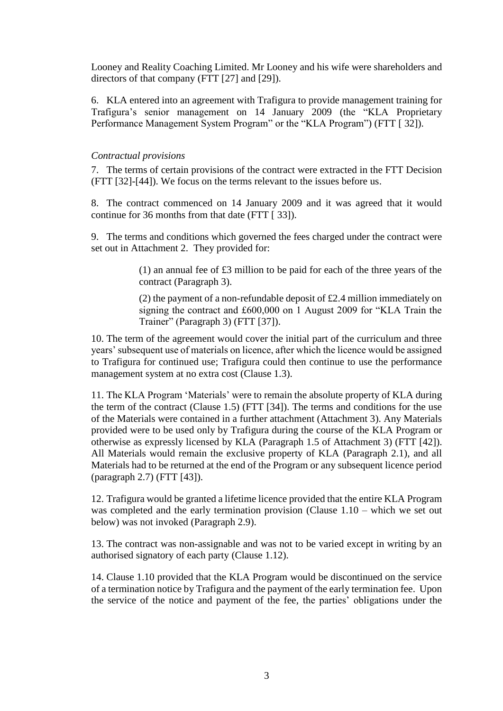Looney and Reality Coaching Limited. Mr Looney and his wife were shareholders and directors of that company (FTT [27] and [29]).

6. KLA entered into an agreement with Trafigura to provide management training for Trafigura's senior management on 14 January 2009 (the "KLA Proprietary Performance Management System Program" or the "KLA Program") (FTT [ 32]).

## *Contractual provisions*

7. The terms of certain provisions of the contract were extracted in the FTT Decision (FTT [32]-[44]). We focus on the terms relevant to the issues before us.

8. The contract commenced on 14 January 2009 and it was agreed that it would continue for 36 months from that date (FTT [ 33]).

9. The terms and conditions which governed the fees charged under the contract were set out in Attachment 2. They provided for:

> (1) an annual fee of £3 million to be paid for each of the three years of the contract (Paragraph 3).

> (2) the payment of a non-refundable deposit of £2.4 million immediately on signing the contract and £600,000 on 1 August 2009 for "KLA Train the Trainer" (Paragraph 3) (FTT [37]).

10. The term of the agreement would cover the initial part of the curriculum and three years' subsequent use of materials on licence, after which the licence would be assigned to Trafigura for continued use; Trafigura could then continue to use the performance management system at no extra cost (Clause 1.3).

11. The KLA Program 'Materials' were to remain the absolute property of KLA during the term of the contract (Clause 1.5) (FTT [34]). The terms and conditions for the use of the Materials were contained in a further attachment (Attachment 3). Any Materials provided were to be used only by Trafigura during the course of the KLA Program or otherwise as expressly licensed by KLA (Paragraph 1.5 of Attachment 3) (FTT [42]). All Materials would remain the exclusive property of KLA (Paragraph 2.1), and all Materials had to be returned at the end of the Program or any subsequent licence period (paragraph 2.7) (FTT [43]).

12. Trafigura would be granted a lifetime licence provided that the entire KLA Program was completed and the early termination provision (Clause 1.10 – which we set out below) was not invoked (Paragraph 2.9).

13. The contract was non-assignable and was not to be varied except in writing by an authorised signatory of each party (Clause 1.12).

14. Clause 1.10 provided that the KLA Program would be discontinued on the service of a termination notice by Trafigura and the payment of the early termination fee. Upon the service of the notice and payment of the fee, the parties' obligations under the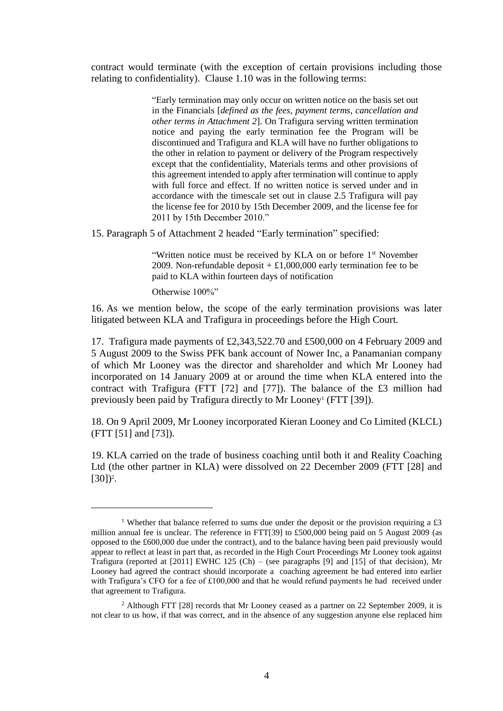contract would terminate (with the exception of certain provisions including those relating to confidentiality). Clause 1.10 was in the following terms:

> "Early termination may only occur on written notice on the basis set out in the Financials [*defined as the fees, payment terms, cancellation and other terms in Attachment 2*]. On Trafigura serving written termination notice and paying the early termination fee the Program will be discontinued and Trafigura and KLA will have no further obligations to the other in relation to payment or delivery of the Program respectively except that the confidentiality, Materials terms and other provisions of this agreement intended to apply after termination will continue to apply with full force and effect. If no written notice is served under and in accordance with the timescale set out in clause 2.5 Trafigura will pay the license fee for 2010 by 15th December 2009, and the license fee for 2011 by 15th December 2010."

15. Paragraph 5 of Attachment 2 headed "Early termination" specified:

"Written notice must be received by KLA on or before 1<sup>st</sup> November 2009. Non-refundable deposit  $+ \pounds1,000,000$  early termination fee to be paid to KLA within fourteen days of notification

Otherwise 100%"

1

16. As we mention below, the scope of the early termination provisions was later litigated between KLA and Trafigura in proceedings before the High Court.

17. Trafigura made payments of £2,343,522.70 and £500,000 on 4 February 2009 and 5 August 2009 to the Swiss PFK bank account of Nower Inc, a Panamanian company of which Mr Looney was the director and shareholder and which Mr Looney had incorporated on 14 January 2009 at or around the time when KLA entered into the contract with Trafigura (FTT [72] and [77]). The balance of the £3 million had previously been paid by Trafigura directly to Mr Looney<sup>1</sup> (FTT [39]).

18. On 9 April 2009, Mr Looney incorporated Kieran Looney and Co Limited (KLCL) (FTT [51] and [73]).

19. KLA carried on the trade of business coaching until both it and Reality Coaching Ltd (the other partner in KLA) were dissolved on 22 December 2009 (FTT [28] and  $[30]$ <sup>2</sup>.

<sup>&</sup>lt;sup>1</sup> Whether that balance referred to sums due under the deposit or the provision requiring a £3 million annual fee is unclear. The reference in FTT[39] to £500,000 being paid on 5 August 2009 (as opposed to the £600,000 due under the contract), and to the balance having been paid previously would appear to reflect at least in part that, as recorded in the High Court Proceedings Mr Looney took against Trafigura (reported at  $[2011]$  EWHC 125 (Ch) – (see paragraphs  $[9]$  and  $[15]$  of that decision), Mr Looney had agreed the contract should incorporate a coaching agreement he had entered into earlier with Trafigura's CFO for a fee of £100,000 and that he would refund payments he had received under that agreement to Trafigura.

<sup>&</sup>lt;sup>2</sup> Although FTT [28] records that Mr Looney ceased as a partner on 22 September 2009, it is not clear to us how, if that was correct, and in the absence of any suggestion anyone else replaced him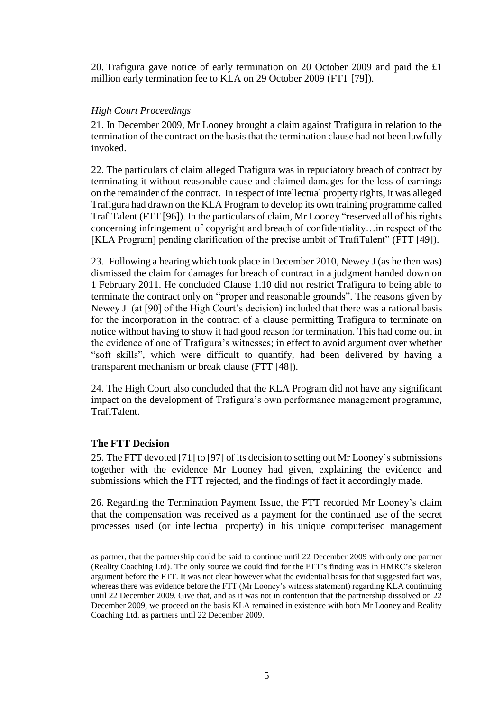20. Trafigura gave notice of early termination on 20 October 2009 and paid the £1 million early termination fee to KLA on 29 October 2009 (FTT [79]).

## *High Court Proceedings*

21. In December 2009, Mr Looney brought a claim against Trafigura in relation to the termination of the contract on the basis that the termination clause had not been lawfully invoked.

22. The particulars of claim alleged Trafigura was in repudiatory breach of contract by terminating it without reasonable cause and claimed damages for the loss of earnings on the remainder of the contract. In respect of intellectual property rights, it was alleged Trafigura had drawn on the KLA Program to develop its own training programme called TrafiTalent (FTT [96]). In the particulars of claim, Mr Looney "reserved all of his rights concerning infringement of copyright and breach of confidentiality…in respect of the [KLA Program] pending clarification of the precise ambit of TrafiTalent" (FTT [49]).

23. Following a hearing which took place in December 2010, Newey J (as he then was) dismissed the claim for damages for breach of contract in a judgment handed down on 1 February 2011. He concluded Clause 1.10 did not restrict Trafigura to being able to terminate the contract only on "proper and reasonable grounds". The reasons given by Newey J (at [90] of the High Court's decision) included that there was a rational basis for the incorporation in the contract of a clause permitting Trafigura to terminate on notice without having to show it had good reason for termination. This had come out in the evidence of one of Trafigura's witnesses; in effect to avoid argument over whether "soft skills", which were difficult to quantify, had been delivered by having a transparent mechanism or break clause (FTT [48]).

24. The High Court also concluded that the KLA Program did not have any significant impact on the development of Trafigura's own performance management programme, TrafiTalent.

# **The FTT Decision**

1

25. The FTT devoted [71] to [97] of its decision to setting out Mr Looney's submissions together with the evidence Mr Looney had given, explaining the evidence and submissions which the FTT rejected, and the findings of fact it accordingly made.

26. Regarding the Termination Payment Issue, the FTT recorded Mr Looney's claim that the compensation was received as a payment for the continued use of the secret processes used (or intellectual property) in his unique computerised management

as partner, that the partnership could be said to continue until 22 December 2009 with only one partner (Reality Coaching Ltd). The only source we could find for the FTT's finding was in HMRC's skeleton argument before the FTT. It was not clear however what the evidential basis for that suggested fact was, whereas there was evidence before the FTT (Mr Looney's witness statement) regarding KLA continuing until 22 December 2009. Give that, and as it was not in contention that the partnership dissolved on 22 December 2009, we proceed on the basis KLA remained in existence with both Mr Looney and Reality Coaching Ltd. as partners until 22 December 2009.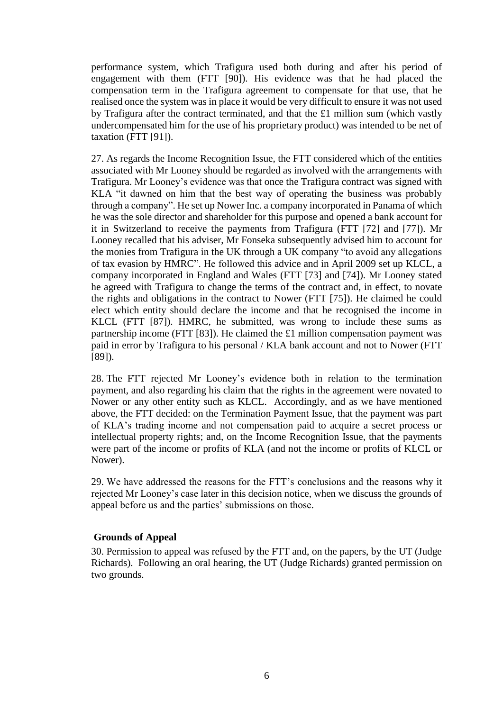performance system, which Trafigura used both during and after his period of engagement with them (FTT [90]). His evidence was that he had placed the compensation term in the Trafigura agreement to compensate for that use, that he realised once the system was in place it would be very difficult to ensure it was not used by Trafigura after the contract terminated, and that the £1 million sum (which vastly undercompensated him for the use of his proprietary product) was intended to be net of taxation (FTT [91]).

27. As regards the Income Recognition Issue, the FTT considered which of the entities associated with Mr Looney should be regarded as involved with the arrangements with Trafigura. Mr Looney's evidence was that once the Trafigura contract was signed with KLA "it dawned on him that the best way of operating the business was probably through a company". He set up Nower Inc. a company incorporated in Panama of which he was the sole director and shareholder for this purpose and opened a bank account for it in Switzerland to receive the payments from Trafigura (FTT [72] and [77]). Mr Looney recalled that his adviser, Mr Fonseka subsequently advised him to account for the monies from Trafigura in the UK through a UK company "to avoid any allegations of tax evasion by HMRC". He followed this advice and in April 2009 set up KLCL, a company incorporated in England and Wales (FTT [73] and [74]). Mr Looney stated he agreed with Trafigura to change the terms of the contract and, in effect, to novate the rights and obligations in the contract to Nower (FTT [75]). He claimed he could elect which entity should declare the income and that he recognised the income in KLCL (FTT [87]). HMRC, he submitted, was wrong to include these sums as partnership income (FTT [83]). He claimed the £1 million compensation payment was paid in error by Trafigura to his personal / KLA bank account and not to Nower (FTT [89]).

28. The FTT rejected Mr Looney's evidence both in relation to the termination payment, and also regarding his claim that the rights in the agreement were novated to Nower or any other entity such as KLCL. Accordingly, and as we have mentioned above, the FTT decided: on the Termination Payment Issue, that the payment was part of KLA's trading income and not compensation paid to acquire a secret process or intellectual property rights; and, on the Income Recognition Issue, that the payments were part of the income or profits of KLA (and not the income or profits of KLCL or Nower).

29. We have addressed the reasons for the FTT's conclusions and the reasons why it rejected Mr Looney's case later in this decision notice, when we discuss the grounds of appeal before us and the parties' submissions on those.

## **Grounds of Appeal**

30. Permission to appeal was refused by the FTT and, on the papers, by the UT (Judge Richards). Following an oral hearing, the UT (Judge Richards) granted permission on two grounds.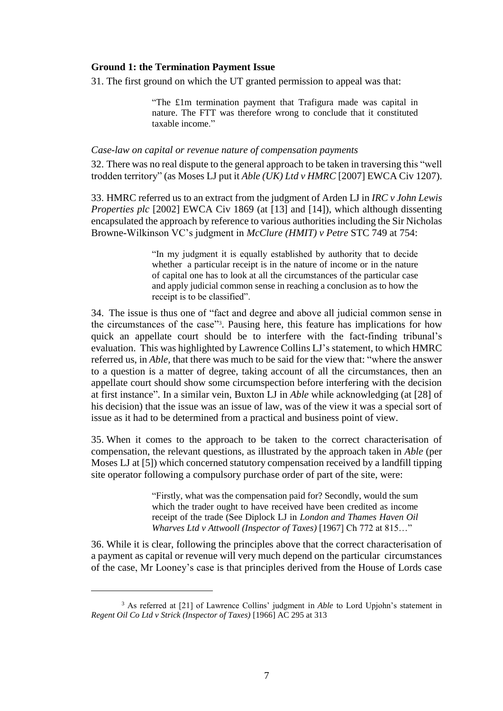#### **Ground 1: the Termination Payment Issue**

31. The first ground on which the UT granted permission to appeal was that:

"The £1m termination payment that Trafigura made was capital in nature. The FTT was therefore wrong to conclude that it constituted taxable income."

### *Case-law on capital or revenue nature of compensation payments*

32. There was no real dispute to the general approach to be taken in traversing this "well trodden territory" (as Moses LJ put it *Able (UK) Ltd v HMRC* [2007] EWCA Civ 1207).

33. HMRC referred us to an extract from the judgment of Arden LJ in *IRC v John Lewis Properties plc* [2002] EWCA Civ 1869 (at [13] and [14]), which although dissenting encapsulated the approach by reference to various authorities including the Sir Nicholas Browne-Wilkinson VC's judgment in *McClure (HMIT) v Petre* STC 749 at 754:

> "In my judgment it is equally established by authority that to decide whether a particular receipt is in the nature of income or in the nature of capital one has to look at all the circumstances of the particular case and apply judicial common sense in reaching a conclusion as to how the receipt is to be classified".

34. The issue is thus one of "fact and degree and above all judicial common sense in the circumstances of the case"<sup>3</sup> . Pausing here, this feature has implications for how quick an appellate court should be to interfere with the fact-finding tribunal's evaluation. This was highlighted by Lawrence Collins LJ's statement, to which HMRC referred us, in *Able,* that there was much to be said for the view that: "where the answer to a question is a matter of degree, taking account of all the circumstances, then an appellate court should show some circumspection before interfering with the decision at first instance". In a similar vein, Buxton LJ in *Able* while acknowledging (at [28] of his decision) that the issue was an issue of law, was of the view it was a special sort of issue as it had to be determined from a practical and business point of view.

35. When it comes to the approach to be taken to the correct characterisation of compensation, the relevant questions, as illustrated by the approach taken in *Able* (per Moses LJ at [5]) which concerned statutory compensation received by a landfill tipping site operator following a compulsory purchase order of part of the site, were:

> "Firstly, what was the compensation paid for? Secondly, would the sum which the trader ought to have received have been credited as income receipt of the trade (See Diplock LJ in *London and Thames Haven Oil Wharves Ltd v Attwooll (Inspector of Taxes)* [1967] Ch 772 at 815…"

36. While it is clear, following the principles above that the correct characterisation of a payment as capital or revenue will very much depend on the particular circumstances of the case, Mr Looney's case is that principles derived from the House of Lords case

<sup>&</sup>lt;sup>3</sup> As referred at [21] of Lawrence Collins' judgment in *Able* to Lord Upjohn's statement in *Regent Oil Co Ltd v Strick (Inspector of Taxes)* [1966] AC 295 at 313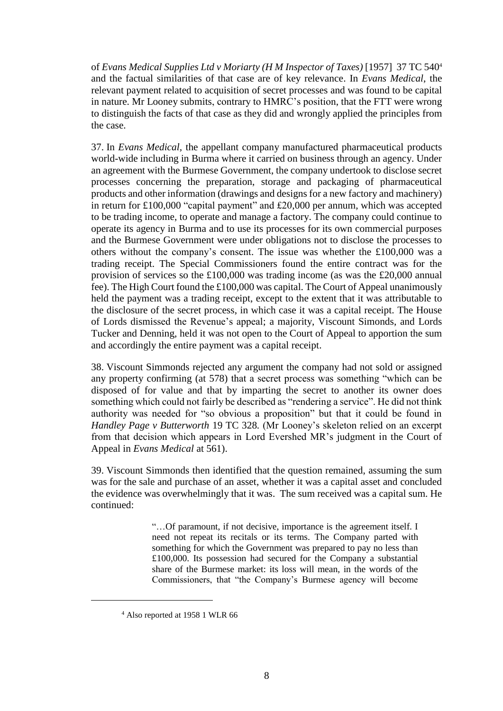of *Evans Medical Supplies Ltd v Moriarty (H M Inspector of Taxes)* [1957] 37 TC 540<sup>4</sup> and the factual similarities of that case are of key relevance. In *Evans Medical*, the relevant payment related to acquisition of secret processes and was found to be capital in nature. Mr Looney submits, contrary to HMRC's position, that the FTT were wrong to distinguish the facts of that case as they did and wrongly applied the principles from the case.

37. In *Evans Medical,* the appellant company manufactured pharmaceutical products world-wide including in Burma where it carried on business through an agency. Under an agreement with the Burmese Government, the company undertook to disclose secret processes concerning the preparation, storage and packaging of pharmaceutical products and other information (drawings and designs for a new factory and machinery) in return for £100,000 "capital payment" and £20,000 per annum, which was accepted to be trading income, to operate and manage a factory. The company could continue to operate its agency in Burma and to use its processes for its own commercial purposes and the Burmese Government were under obligations not to disclose the processes to others without the company's consent. The issue was whether the £100,000 was a trading receipt. The Special Commissioners found the entire contract was for the provision of services so the £100,000 was trading income (as was the £20,000 annual fee). The High Court found the £100,000 was capital. The Court of Appeal unanimously held the payment was a trading receipt, except to the extent that it was attributable to the disclosure of the secret process, in which case it was a capital receipt. The House of Lords dismissed the Revenue's appeal; a majority, Viscount Simonds, and Lords Tucker and Denning, held it was not open to the Court of Appeal to apportion the sum and accordingly the entire payment was a capital receipt.

38. Viscount Simmonds rejected any argument the company had not sold or assigned any property confirming (at 578) that a secret process was something "which can be disposed of for value and that by imparting the secret to another its owner does something which could not fairly be described as "rendering a service". He did not think authority was needed for "so obvious a proposition" but that it could be found in *Handley Page v Butterworth* 19 TC 328*.* (Mr Looney's skeleton relied on an excerpt from that decision which appears in Lord Evershed MR's judgment in the Court of Appeal in *Evans Medical* at 561).

39. Viscount Simmonds then identified that the question remained, assuming the sum was for the sale and purchase of an asset, whether it was a capital asset and concluded the evidence was overwhelmingly that it was. The sum received was a capital sum. He continued:

> "…Of paramount, if not decisive, importance is the agreement itself. I need not repeat its recitals or its terms. The Company parted with something for which the Government was prepared to pay no less than £100,000. Its possession had secured for the Company a substantial share of the Burmese market: its loss will mean, in the words of the Commissioners, that "the Company's Burmese agency will become

<sup>4</sup> Also reported at 1958 1 WLR 66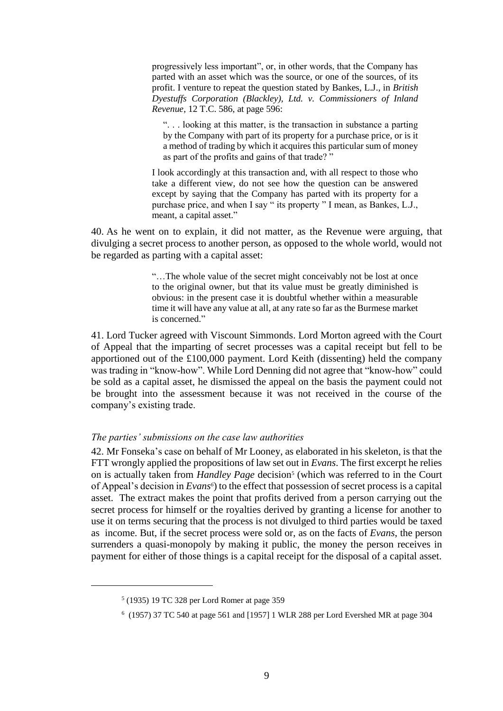progressively less important", or, in other words, that the Company has parted with an asset which was the source, or one of the sources, of its profit. I venture to repeat the question stated by Bankes, L.J., in *British Dyestuffs Corporation (Blackley), Ltd. v. Commissioners of Inland Revenue*, 12 T.C. 586, at page 596:

". . . looking at this matter, is the transaction in substance a parting by the Company with part of its property for a purchase price, or is it a method of trading by which it acquires this particular sum of money as part of the profits and gains of that trade? "

I look accordingly at this transaction and, with all respect to those who take a different view, do not see how the question can be answered except by saying that the Company has parted with its property for a purchase price, and when I say " its property " I mean, as Bankes, L.J., meant, a capital asset."

40. As he went on to explain, it did not matter, as the Revenue were arguing, that divulging a secret process to another person, as opposed to the whole world, would not be regarded as parting with a capital asset:

> "…The whole value of the secret might conceivably not be lost at once to the original owner, but that its value must be greatly diminished is obvious: in the present case it is doubtful whether within a measurable time it will have any value at all, at any rate so far as the Burmese market is concerned."

41. Lord Tucker agreed with Viscount Simmonds. Lord Morton agreed with the Court of Appeal that the imparting of secret processes was a capital receipt but fell to be apportioned out of the £100,000 payment. Lord Keith (dissenting) held the company was trading in "know-how". While Lord Denning did not agree that "know-how" could be sold as a capital asset, he dismissed the appeal on the basis the payment could not be brought into the assessment because it was not received in the course of the company's existing trade.

#### *The parties' submissions on the case law authorities*

42. Mr Fonseka's case on behalf of Mr Looney, as elaborated in his skeleton, is that the FTT wrongly applied the propositions of law set out in *Evans*. The first excerpt he relies on is actually taken from *Handley Page* decision<sup>5</sup> (which was referred to in the Court of Appeal's decision in *Evans<sup>6</sup>* ) to the effect that possession of secret process is a capital asset. The extract makes the point that profits derived from a person carrying out the secret process for himself or the royalties derived by granting a license for another to use it on terms securing that the process is not divulged to third parties would be taxed as income. But, if the secret process were sold or, as on the facts of *Evans*, the person surrenders a quasi-monopoly by making it public, the money the person receives in payment for either of those things is a capital receipt for the disposal of a capital asset.

<sup>5</sup> (1935) 19 TC 328 per Lord Romer at page 359

<sup>6</sup> (1957) 37 TC 540 at page 561 and [1957] 1 WLR 288 per Lord Evershed MR at page 304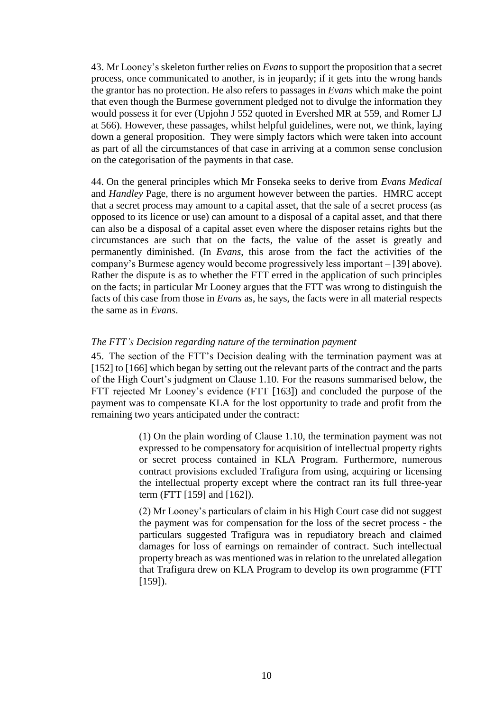43. Mr Looney's skeleton further relies on *Evans* to support the proposition that a secret process, once communicated to another, is in jeopardy; if it gets into the wrong hands the grantor has no protection. He also refers to passages in *Evans* which make the point that even though the Burmese government pledged not to divulge the information they would possess it for ever (Upjohn J 552 quoted in Evershed MR at 559, and Romer LJ at 566). However, these passages, whilst helpful guidelines, were not, we think, laying down a general proposition. They were simply factors which were taken into account as part of all the circumstances of that case in arriving at a common sense conclusion on the categorisation of the payments in that case.

44. On the general principles which Mr Fonseka seeks to derive from *Evans Medical* and *Handley* Page, there is no argument however between the parties. HMRC accept that a secret process may amount to a capital asset, that the sale of a secret process (as opposed to its licence or use) can amount to a disposal of a capital asset, and that there can also be a disposal of a capital asset even where the disposer retains rights but the circumstances are such that on the facts, the value of the asset is greatly and permanently diminished. (In *Evans*, this arose from the fact the activities of the company's Burmese agency would become progressively less important – [39] above). Rather the dispute is as to whether the FTT erred in the application of such principles on the facts; in particular Mr Looney argues that the FTT was wrong to distinguish the facts of this case from those in *Evans* as, he says, the facts were in all material respects the same as in *Evans*.

## *The FTT's Decision regarding nature of the termination payment*

45. The section of the FTT's Decision dealing with the termination payment was at [152] to [166] which began by setting out the relevant parts of the contract and the parts of the High Court's judgment on Clause 1.10. For the reasons summarised below, the FTT rejected Mr Looney's evidence (FTT [163]) and concluded the purpose of the payment was to compensate KLA for the lost opportunity to trade and profit from the remaining two years anticipated under the contract:

> (1) On the plain wording of Clause 1.10, the termination payment was not expressed to be compensatory for acquisition of intellectual property rights or secret process contained in KLA Program. Furthermore, numerous contract provisions excluded Trafigura from using, acquiring or licensing the intellectual property except where the contract ran its full three-year term (FTT [159] and [162]).

> (2) Mr Looney's particulars of claim in his High Court case did not suggest the payment was for compensation for the loss of the secret process - the particulars suggested Trafigura was in repudiatory breach and claimed damages for loss of earnings on remainder of contract. Such intellectual property breach as was mentioned was in relation to the unrelated allegation that Trafigura drew on KLA Program to develop its own programme (FTT [159]).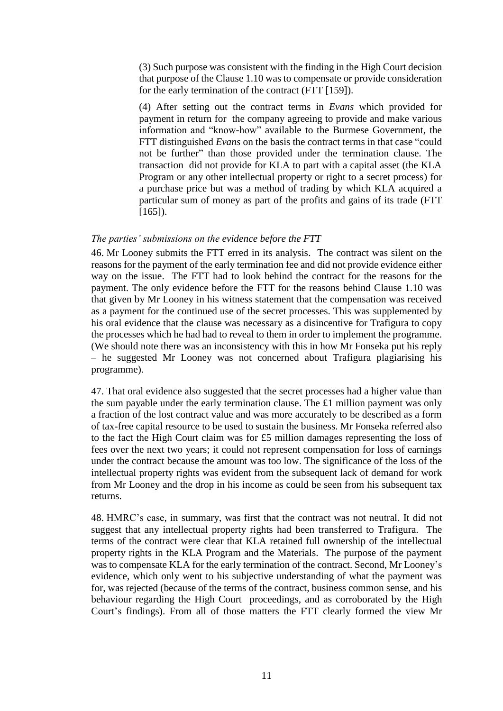(3) Such purpose was consistent with the finding in the High Court decision that purpose of the Clause 1.10 was to compensate or provide consideration for the early termination of the contract (FTT [159]).

(4) After setting out the contract terms in *Evans* which provided for payment in return for the company agreeing to provide and make various information and "know-how" available to the Burmese Government, the FTT distinguished *Evans* on the basis the contract terms in that case "could not be further" than those provided under the termination clause. The transaction did not provide for KLA to part with a capital asset (the KLA Program or any other intellectual property or right to a secret process) for a purchase price but was a method of trading by which KLA acquired a particular sum of money as part of the profits and gains of its trade (FTT  $[165]$ ).

#### *The parties' submissions on the evidence before the FTT*

46. Mr Looney submits the FTT erred in its analysis. The contract was silent on the reasons for the payment of the early termination fee and did not provide evidence either way on the issue. The FTT had to look behind the contract for the reasons for the payment. The only evidence before the FTT for the reasons behind Clause 1.10 was that given by Mr Looney in his witness statement that the compensation was received as a payment for the continued use of the secret processes. This was supplemented by his oral evidence that the clause was necessary as a disincentive for Trafigura to copy the processes which he had had to reveal to them in order to implement the programme. (We should note there was an inconsistency with this in how Mr Fonseka put his reply – he suggested Mr Looney was not concerned about Trafigura plagiarising his programme).

47. That oral evidence also suggested that the secret processes had a higher value than the sum payable under the early termination clause. The £1 million payment was only a fraction of the lost contract value and was more accurately to be described as a form of tax-free capital resource to be used to sustain the business. Mr Fonseka referred also to the fact the High Court claim was for  $£5$  million damages representing the loss of fees over the next two years; it could not represent compensation for loss of earnings under the contract because the amount was too low. The significance of the loss of the intellectual property rights was evident from the subsequent lack of demand for work from Mr Looney and the drop in his income as could be seen from his subsequent tax returns.

48. HMRC's case, in summary, was first that the contract was not neutral. It did not suggest that any intellectual property rights had been transferred to Trafigura. The terms of the contract were clear that KLA retained full ownership of the intellectual property rights in the KLA Program and the Materials. The purpose of the payment was to compensate KLA for the early termination of the contract. Second, Mr Looney's evidence, which only went to his subjective understanding of what the payment was for, was rejected (because of the terms of the contract, business common sense, and his behaviour regarding the High Court proceedings, and as corroborated by the High Court's findings). From all of those matters the FTT clearly formed the view Mr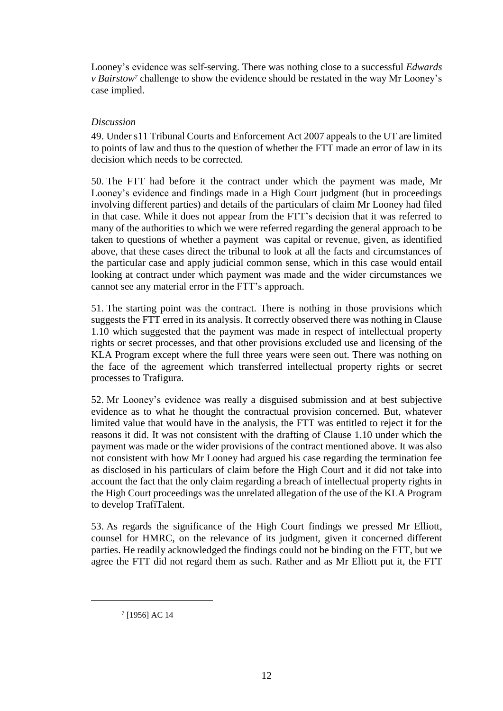Looney's evidence was self-serving. There was nothing close to a successful *Edwards v Bairstow<sup>7</sup>* challenge to show the evidence should be restated in the way Mr Looney's case implied.

### *Discussion*

49. Under s11 Tribunal Courts and Enforcement Act 2007 appeals to the UT are limited to points of law and thus to the question of whether the FTT made an error of law in its decision which needs to be corrected.

50. The FTT had before it the contract under which the payment was made, Mr Looney's evidence and findings made in a High Court judgment (but in proceedings involving different parties) and details of the particulars of claim Mr Looney had filed in that case. While it does not appear from the FTT's decision that it was referred to many of the authorities to which we were referred regarding the general approach to be taken to questions of whether a payment was capital or revenue, given, as identified above, that these cases direct the tribunal to look at all the facts and circumstances of the particular case and apply judicial common sense, which in this case would entail looking at contract under which payment was made and the wider circumstances we cannot see any material error in the FTT's approach.

51. The starting point was the contract. There is nothing in those provisions which suggests the FTT erred in its analysis. It correctly observed there was nothing in Clause 1.10 which suggested that the payment was made in respect of intellectual property rights or secret processes, and that other provisions excluded use and licensing of the KLA Program except where the full three years were seen out. There was nothing on the face of the agreement which transferred intellectual property rights or secret processes to Trafigura.

52. Mr Looney's evidence was really a disguised submission and at best subjective evidence as to what he thought the contractual provision concerned. But, whatever limited value that would have in the analysis, the FTT was entitled to reject it for the reasons it did. It was not consistent with the drafting of Clause 1.10 under which the payment was made or the wider provisions of the contract mentioned above. It was also not consistent with how Mr Looney had argued his case regarding the termination fee as disclosed in his particulars of claim before the High Court and it did not take into account the fact that the only claim regarding a breach of intellectual property rights in the High Court proceedings was the unrelated allegation of the use of the KLA Program to develop TrafiTalent.

53. As regards the significance of the High Court findings we pressed Mr Elliott, counsel for HMRC, on the relevance of its judgment, given it concerned different parties. He readily acknowledged the findings could not be binding on the FTT, but we agree the FTT did not regard them as such. Rather and as Mr Elliott put it, the FTT

<sup>7</sup> [1956] AC 14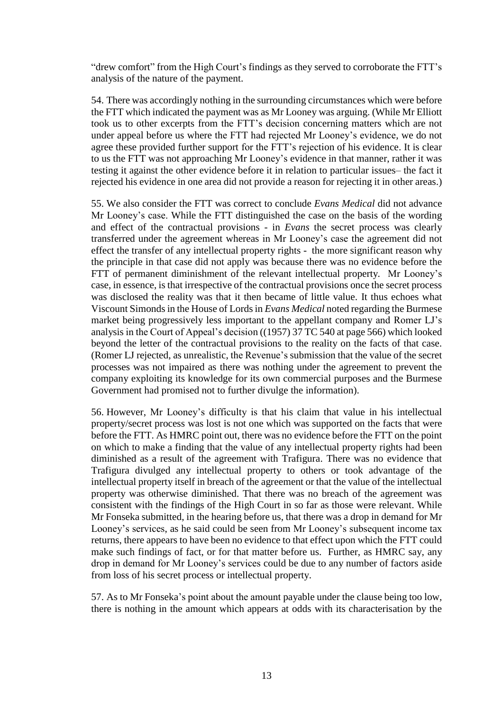"drew comfort" from the High Court's findings as they served to corroborate the FTT's analysis of the nature of the payment.

54. There was accordingly nothing in the surrounding circumstances which were before the FTT which indicated the payment was as Mr Looney was arguing. (While Mr Elliott took us to other excerpts from the FTT's decision concerning matters which are not under appeal before us where the FTT had rejected Mr Looney's evidence, we do not agree these provided further support for the FTT's rejection of his evidence. It is clear to us the FTT was not approaching Mr Looney's evidence in that manner, rather it was testing it against the other evidence before it in relation to particular issues– the fact it rejected his evidence in one area did not provide a reason for rejecting it in other areas.)

55. We also consider the FTT was correct to conclude *Evans Medical* did not advance Mr Looney's case. While the FTT distinguished the case on the basis of the wording and effect of the contractual provisions - in *Evans* the secret process was clearly transferred under the agreement whereas in Mr Looney's case the agreement did not effect the transfer of any intellectual property rights - the more significant reason why the principle in that case did not apply was because there was no evidence before the FTT of permanent diminishment of the relevant intellectual property*.* Mr Looney's case, in essence, is that irrespective of the contractual provisions once the secret process was disclosed the reality was that it then became of little value. It thus echoes what Viscount Simonds in the House of Lords in *Evans Medical* noted regarding the Burmese market being progressively less important to the appellant company and Romer LJ's analysis in the Court of Appeal's decision ((1957) 37 TC 540 at page 566) which looked beyond the letter of the contractual provisions to the reality on the facts of that case. (Romer LJ rejected, as unrealistic, the Revenue's submission that the value of the secret processes was not impaired as there was nothing under the agreement to prevent the company exploiting its knowledge for its own commercial purposes and the Burmese Government had promised not to further divulge the information).

56. However, Mr Looney's difficulty is that his claim that value in his intellectual property/secret process was lost is not one which was supported on the facts that were before the FTT. As HMRC point out, there was no evidence before the FTT on the point on which to make a finding that the value of any intellectual property rights had been diminished as a result of the agreement with Trafigura. There was no evidence that Trafigura divulged any intellectual property to others or took advantage of the intellectual property itself in breach of the agreement or that the value of the intellectual property was otherwise diminished. That there was no breach of the agreement was consistent with the findings of the High Court in so far as those were relevant. While Mr Fonseka submitted, in the hearing before us, that there was a drop in demand for Mr Looney's services, as he said could be seen from Mr Looney's subsequent income tax returns, there appears to have been no evidence to that effect upon which the FTT could make such findings of fact, or for that matter before us. Further, as HMRC say, any drop in demand for Mr Looney's services could be due to any number of factors aside from loss of his secret process or intellectual property.

57. As to Mr Fonseka's point about the amount payable under the clause being too low, there is nothing in the amount which appears at odds with its characterisation by the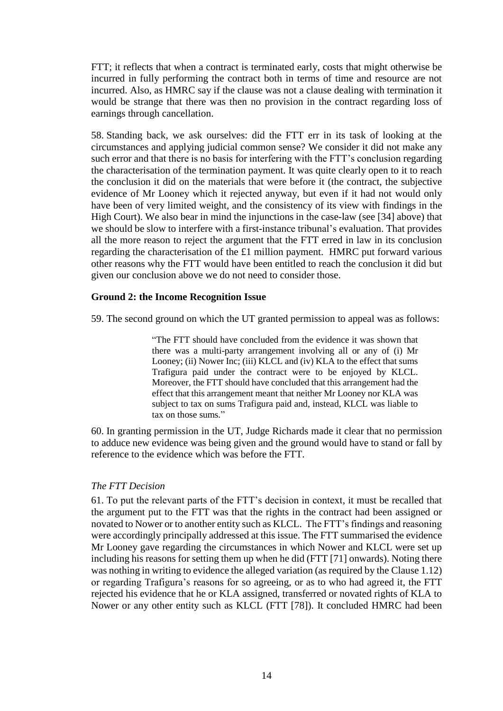FTT; it reflects that when a contract is terminated early, costs that might otherwise be incurred in fully performing the contract both in terms of time and resource are not incurred. Also, as HMRC say if the clause was not a clause dealing with termination it would be strange that there was then no provision in the contract regarding loss of earnings through cancellation.

58. Standing back, we ask ourselves: did the FTT err in its task of looking at the circumstances and applying judicial common sense? We consider it did not make any such error and that there is no basis for interfering with the FTT's conclusion regarding the characterisation of the termination payment. It was quite clearly open to it to reach the conclusion it did on the materials that were before it (the contract, the subjective evidence of Mr Looney which it rejected anyway, but even if it had not would only have been of very limited weight, and the consistency of its view with findings in the High Court). We also bear in mind the injunctions in the case-law (see [34] above) that we should be slow to interfere with a first-instance tribunal's evaluation. That provides all the more reason to reject the argument that the FTT erred in law in its conclusion regarding the characterisation of the £1 million payment. HMRC put forward various other reasons why the FTT would have been entitled to reach the conclusion it did but given our conclusion above we do not need to consider those.

## **Ground 2: the Income Recognition Issue**

59. The second ground on which the UT granted permission to appeal was as follows:

"The FTT should have concluded from the evidence it was shown that there was a multi-party arrangement involving all or any of (i) Mr Looney; (ii) Nower Inc; (iii) KLCL and (iv) KLA to the effect that sums Trafigura paid under the contract were to be enjoyed by KLCL. Moreover, the FTT should have concluded that this arrangement had the effect that this arrangement meant that neither Mr Looney nor KLA was subject to tax on sums Trafigura paid and, instead, KLCL was liable to tax on those sums."

60. In granting permission in the UT, Judge Richards made it clear that no permission to adduce new evidence was being given and the ground would have to stand or fall by reference to the evidence which was before the FTT.

#### *The FTT Decision*

61. To put the relevant parts of the FTT's decision in context, it must be recalled that the argument put to the FTT was that the rights in the contract had been assigned or novated to Nower or to another entity such as KLCL. The FTT's findings and reasoning were accordingly principally addressed at this issue. The FTT summarised the evidence Mr Looney gave regarding the circumstances in which Nower and KLCL were set up including his reasons for setting them up when he did (FTT [71] onwards). Noting there was nothing in writing to evidence the alleged variation (as required by the Clause 1.12) or regarding Trafigura's reasons for so agreeing, or as to who had agreed it, the FTT rejected his evidence that he or KLA assigned, transferred or novated rights of KLA to Nower or any other entity such as KLCL (FTT [78]). It concluded HMRC had been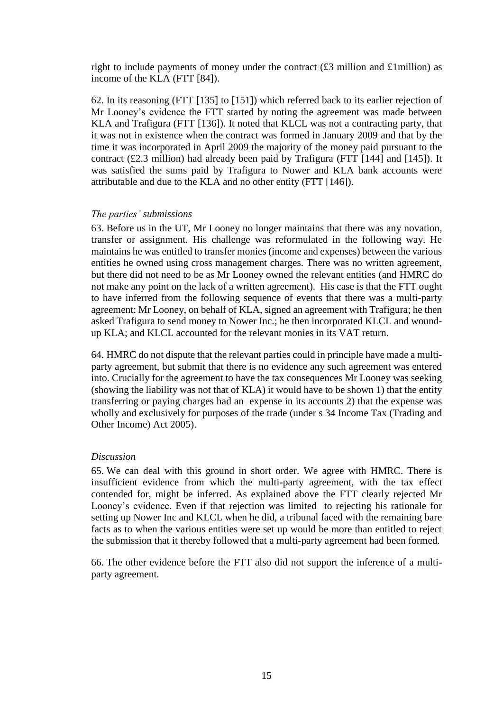right to include payments of money under the contract  $(£3$  million and £1million) as income of the KLA (FTT [84]).

62. In its reasoning (FTT [135] to [151]) which referred back to its earlier rejection of Mr Looney's evidence the FTT started by noting the agreement was made between KLA and Trafigura (FTT [136]). It noted that KLCL was not a contracting party, that it was not in existence when the contract was formed in January 2009 and that by the time it was incorporated in April 2009 the majority of the money paid pursuant to the contract (£2.3 million) had already been paid by Trafigura (FTT [144] and [145]). It was satisfied the sums paid by Trafigura to Nower and KLA bank accounts were attributable and due to the KLA and no other entity (FTT [146]).

## *The parties' submissions*

63. Before us in the UT, Mr Looney no longer maintains that there was any novation, transfer or assignment. His challenge was reformulated in the following way. He maintains he was entitled to transfer monies (income and expenses) between the various entities he owned using cross management charges. There was no written agreement, but there did not need to be as Mr Looney owned the relevant entities (and HMRC do not make any point on the lack of a written agreement). His case is that the FTT ought to have inferred from the following sequence of events that there was a multi-party agreement: Mr Looney, on behalf of KLA, signed an agreement with Trafigura; he then asked Trafigura to send money to Nower Inc.; he then incorporated KLCL and woundup KLA; and KLCL accounted for the relevant monies in its VAT return.

64. HMRC do not dispute that the relevant parties could in principle have made a multiparty agreement, but submit that there is no evidence any such agreement was entered into. Crucially for the agreement to have the tax consequences Mr Looney was seeking (showing the liability was not that of KLA) it would have to be shown 1) that the entity transferring or paying charges had an expense in its accounts 2) that the expense was wholly and exclusively for purposes of the trade (under s 34 Income Tax (Trading and Other Income) Act 2005).

#### *Discussion*

65. We can deal with this ground in short order. We agree with HMRC. There is insufficient evidence from which the multi-party agreement, with the tax effect contended for, might be inferred. As explained above the FTT clearly rejected Mr Looney's evidence. Even if that rejection was limited to rejecting his rationale for setting up Nower Inc and KLCL when he did, a tribunal faced with the remaining bare facts as to when the various entities were set up would be more than entitled to reject the submission that it thereby followed that a multi-party agreement had been formed.

66. The other evidence before the FTT also did not support the inference of a multiparty agreement.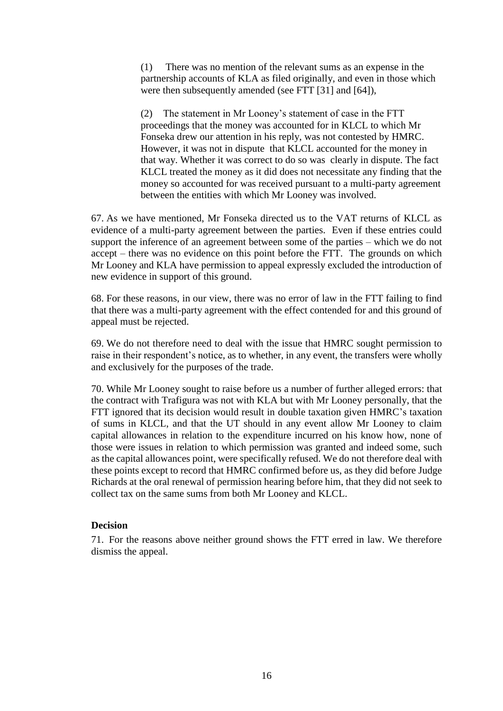(1) There was no mention of the relevant sums as an expense in the partnership accounts of KLA as filed originally, and even in those which were then subsequently amended (see FTT [31] and [64]),

(2) The statement in Mr Looney's statement of case in the FTT proceedings that the money was accounted for in KLCL to which Mr Fonseka drew our attention in his reply, was not contested by HMRC. However, it was not in dispute that KLCL accounted for the money in that way. Whether it was correct to do so was clearly in dispute. The fact KLCL treated the money as it did does not necessitate any finding that the money so accounted for was received pursuant to a multi-party agreement between the entities with which Mr Looney was involved.

67. As we have mentioned, Mr Fonseka directed us to the VAT returns of KLCL as evidence of a multi-party agreement between the parties. Even if these entries could support the inference of an agreement between some of the parties – which we do not accept – there was no evidence on this point before the FTT. The grounds on which Mr Looney and KLA have permission to appeal expressly excluded the introduction of new evidence in support of this ground.

68. For these reasons, in our view, there was no error of law in the FTT failing to find that there was a multi-party agreement with the effect contended for and this ground of appeal must be rejected.

69. We do not therefore need to deal with the issue that HMRC sought permission to raise in their respondent's notice, as to whether, in any event, the transfers were wholly and exclusively for the purposes of the trade.

70. While Mr Looney sought to raise before us a number of further alleged errors: that the contract with Trafigura was not with KLA but with Mr Looney personally, that the FTT ignored that its decision would result in double taxation given HMRC's taxation of sums in KLCL, and that the UT should in any event allow Mr Looney to claim capital allowances in relation to the expenditure incurred on his know how, none of those were issues in relation to which permission was granted and indeed some, such as the capital allowances point, were specifically refused. We do not therefore deal with these points except to record that HMRC confirmed before us, as they did before Judge Richards at the oral renewal of permission hearing before him, that they did not seek to collect tax on the same sums from both Mr Looney and KLCL.

#### **Decision**

71. For the reasons above neither ground shows the FTT erred in law. We therefore dismiss the appeal.